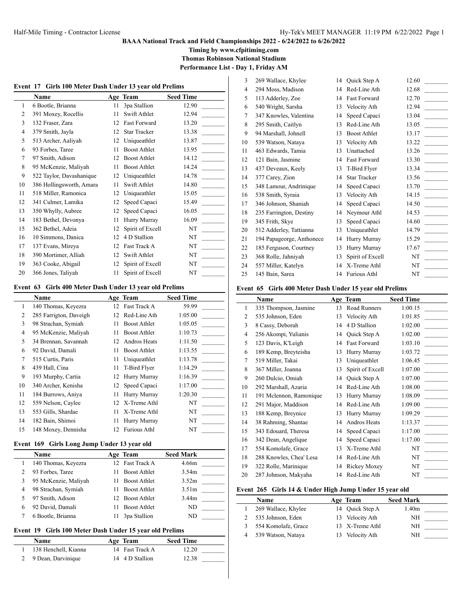# **BAAA National Track and Field Championships 2022 - 6/24/2022 to 6/26/2022**

**Timing by www.cfpitiming.com**

**Thomas Robinson National Stadium**

**Performance List - Day 1, Friday AM**

 $\overline{\phantom{a}}$ 

| Event 17 | Girls 100 Meter Dash Under 13 year old Prelims |    |                     |                  |  |  |
|----------|------------------------------------------------|----|---------------------|------------------|--|--|
|          | Name                                           |    | Age Team            | <b>Seed Time</b> |  |  |
| 1        | 6 Bootle, Brianna                              | 11 | 3pa Stallion        | 12.90            |  |  |
| 2        | 391 Moxey, Rocellis                            | 11 | Swift Athlet        | 12.94            |  |  |
| 3        | 132 Fraser, Zara                               | 12 | <b>Fast Forward</b> | 13.20            |  |  |
| 4        | 379 Smith, Jayla                               | 12 | Star Tracker        | 13.38            |  |  |
| 5        | 513 Archer, Aaliyah                            | 12 | Uniqueathlet        | 13.87            |  |  |
| 6        | 93 Forbes, Taree                               | 11 | <b>Boost Athlet</b> | 13.95            |  |  |
| 7        | 97 Smith, Adison                               | 12 | Boost Athlet        | 14.12            |  |  |
| 8        | 95 McKenzie, Maliyah                           | 11 | Boost Athlet        | 14.24            |  |  |
| 9        | 522 Taylor, Davashanique                       | 12 | Uniqueathlet        | 14.78            |  |  |
| 10       | 386 Hollingsworth, Amara                       | 11 | Swift Athlet        | 14.80            |  |  |
| 11       | 518 Miller, Ramonica                           | 12 | Uniqueathlet        | 15.05            |  |  |
| 12       | 341 Culmer, Lamika                             | 12 | Speed Capaci        | 15.49            |  |  |
| 13       | 350 Whylly, Aubree                             | 12 | Speed Capaci        | 16.05            |  |  |
| 14       | 183 Bethel, Devonya                            | 11 | Hurry Murray        | 16.09            |  |  |
| 15       | 362 Bethel, Adeia                              | 12 | Spirit of Excell    | NT               |  |  |
| 16       | 10 Simmons, Danica                             | 12 | 4 D Stallion        | NT               |  |  |
| 17       | 137 Evans, Mireya                              | 12 | Fast Track A        | NT               |  |  |
| 18       | 390 Mortimer, Alliah                           | 12 | Swift Athlet        | NT               |  |  |
| 19       | 363 Cooke, Abigail                             | 12 | Spirit of Excell    | NT               |  |  |
| 20       | 366 Jones, Taliyah                             | 11 | Spirit of Excell    | NT               |  |  |

#### **Event 63 Girls 400 Meter Dash Under 13 year old Prelims**

|    | <b>Name</b>            |    | Age Team            | <b>Seed Time</b> |
|----|------------------------|----|---------------------|------------------|
| 1  | 140 Thomas, Keyezra    | 12 | Fast Track A        | 59.99            |
| 2  | 285 Farrigton, Daveigh | 12 | Red-Line Ath        | 1:05.00          |
| 3  | 98 Strachan, Symiah    | 11 | <b>Boost Athlet</b> | 1:05.05          |
| 4  | 95 McKenzie, Maliyah   | 11 | <b>Boost Athlet</b> | 1:10.73          |
| 5  | 34 Brennan, Savannah   | 12 | Andros Heats        | 1:11.50          |
| 6  | 92 David, Damali       | 11 | <b>Boost Athlet</b> | 1:13.55          |
| 7  | 515 Curtis, Paris      | 11 | Uniqueathlet        | 1:13.78          |
| 8  | 439 Hall, Cina         | 11 | T-Bird Flyer        | 1:14.29          |
| 9  | 193 Murphy, Cartia     | 12 | Hurry Murray        | 1:16.39          |
| 10 | 340 Archer, Kenisha    | 12 | Speed Capaci        | 1:17.00          |
| 11 | 184 Burrows, Aniya     | 11 | Hurry Murray        | 1:20.30          |
| 12 | 559 Nelson, Caylee     | 12 | X-Treme Athl        | NT               |
| 13 | 553 Gills, Shardae     | 11 | X-Treme Athl        | NT               |
| 14 | 182 Bain, Shimoi       | 11 | Hurry Murray        | NT               |
| 15 | 148 Moxey, Dennisha    | 12 | <b>Furious Athl</b> | NT               |

#### **Event 169 Girls Long Jump Under 13 year old**

|   | Name                 | Age Team            | <b>Seed Mark</b>  |
|---|----------------------|---------------------|-------------------|
|   | 140 Thomas, Keyezra  | 12 Fast Track A     | 4.66m             |
|   | 93 Forbes, Taree     | <b>Boost Athlet</b> | 3.54 <sub>m</sub> |
| 3 | 95 McKenzie, Maliyah | <b>Boost Athlet</b> | 3.52m             |
| 4 | 98 Strachan, Symiah  | <b>Boost Athlet</b> | 3.51 <sub>m</sub> |
|   | 97 Smith, Adison     | 12 Boost Athlet     | 3.44 <sub>m</sub> |
| 6 | 92 David, Damali     | <b>Boost Athlet</b> | ND                |
|   | 6 Bootle, Brianna    | 3pa Stallion        | ND                |

## **Event 19 Girls 100 Meter Dash Under 15 year old Prelims**

| <b>Name</b>          | Age Team        | <b>Seed Time</b> |
|----------------------|-----------------|------------------|
| 138 Henchell, Kianna | 14 Fast Track A | 12.20            |
| 2 9 Dean, Darvinique | 14 4 D Stallion | 12.38            |

| 3              | 269 Wallace, Khylee       | 14 | Quick Step A        | 12.60                             |  |
|----------------|---------------------------|----|---------------------|-----------------------------------|--|
| $\overline{4}$ | 294 Moss, Madison         | 14 | Red-Line Ath        | 12.68                             |  |
| 5              | 113 Adderley, Zoe         | 14 | <b>Fast Forward</b> | 12.70                             |  |
| 6              | 540 Wright, Sarsha        | 13 | Velocity Ath        | 12.94                             |  |
| 7              | 347 Knowles, Valentina    | 14 | Speed Capaci        | 13.04                             |  |
| 8              | 295 Smith, Caitlyn        | 13 | Red-Line Ath        | 13.05                             |  |
| 9              | 94 Marshall, Johnell      | 13 | <b>Boost Athlet</b> | 13.17                             |  |
| 10             | 539 Watson, Nataya        | 13 | Velocity Ath        | 13.22<br>$\overline{\phantom{a}}$ |  |
| 11             | 463 Edwards, Tamia        | 13 | Unattached          | 13.26                             |  |
| 12             | 121 Bain, Jasmine         | 14 | <b>Fast Forward</b> | 13.30                             |  |
| 13             | 437 Deveaux, Keely        | 13 | T-Bird Flyer        | 13.34<br>$\sim 10^{11}$ m $^{-1}$ |  |
| 14             | 377 Carey, Zion           | 14 | <b>Star Tracker</b> | 13.56                             |  |
| 15             | 348 Lamour, Andrinique    | 14 | Speed Capaci        | 13.70<br><b>Contract</b>          |  |
| 16             | 538 Smith, Syraia         | 13 | Velocity Ath        | 14.15<br>$\sim$                   |  |
| 17             | 346 Johnson, Shaniah      | 14 | Speed Capaci        | 14.50<br><b>Contract</b>          |  |
| 18             | 235 Farrington, Destiny   | 14 | Neymour Athl        | 14.53                             |  |
| 19             | 345 Frith, Skye           | 13 | Speed Capaci        | 14.60                             |  |
| 20             | 512 Adderley, Tattianna   | 13 | Uniqueathlet        | 14.79                             |  |
| 21             | 194 Papageorge, Anthonece | 14 | Hurry Murray        | 15.29                             |  |
| 22             | 185 Ferguson, Courtney    | 13 | Hurry Murray        | 17.67                             |  |
| 23             | 368 Rolle, Jahniyah       | 13 | Spirit of Excell    | NT                                |  |
| 24             | 557 Miller, Katelyn       | 14 | X-Treme Athl        | NT                                |  |
| 25             | 145 Bain, Sarea           | 14 | <b>Furious Athl</b> | NT                                |  |

#### **Event 65 Girls 400 Meter Dash Under 15 year old Prelims**

|                | Name                    |    | Age Team            | <b>Seed Time</b> |
|----------------|-------------------------|----|---------------------|------------------|
| 1              | 335 Thompson, Jasmine   | 13 | <b>Road Runners</b> | 1:00.15          |
| $\overline{2}$ | 535 Johnson, Eden       | 13 | Velocity Ath        | 1:01.85          |
| 3              | 8 Cassy, Deborah        | 14 | 4 D Stallion        | 1:02.00          |
| 4              | 256 Akompi, Yulianis    | 14 | Quick Step A        | 1:02.00          |
| 5              | 123 Davis, K'Leigh      | 14 | <b>Fast Forward</b> | 1:03.10          |
| 6              | 189 Kemp, Breyteisha    | 13 | Hurry Murray        | 1:03.72          |
| 7              | 519 Miller, Takai       | 13 | Uniqueathlet        | 1:06.45          |
| 8              | 367 Miller, Joanna      | 13 | Spirit of Excell    | 1:07.00          |
| 9              | 260 Dulcio, Omiah       | 14 | Quick Step A        | 1:07.00          |
| 10             | 292 Marshall, Azaria    | 14 | Red-Line Ath        | 1:08.00          |
| 11             | 191 Mclennon, Ramonique | 13 | Hurry Murray        | 1:08.09          |
| 12             | 291 Major, Maddison     | 14 | Red-Line Ath        | 1:09.00          |
| 13             | 188 Kemp, Breynice      | 13 | Hurry Murray        | 1:09.29          |
| 14             | 38 Rahming, Shantae     | 14 | Andros Heats        | 1:13.37          |
| 15             | 343 Edouard, Theresa    | 14 | Speed Capaci        | 1:17.00          |
| 16             | 342 Dean, Angelique     | 14 | Speed Capaci        | 1:17.00          |
| 17             | 554 Komolafe, Grace     | 13 | X-Treme Athl        | NT               |
| 18             | 288 Knowles, Chea' Lesa | 14 | Red-Line Ath        | NT               |
| 19             | 322 Rolle, Marinique    | 14 | Rickey Moxey        | NT               |
| 20             | 287 Johnson, Makyaha    |    | 14 Red-Line Ath     | NT               |

#### **Event 265 Girls 14 & Under High Jump Under 15 year old**

| <b>Name</b>         | Age Team        | <b>Seed Mark</b>  |
|---------------------|-----------------|-------------------|
| 269 Wallace, Khylee | 14 Ouick Step A | 1.40 <sub>m</sub> |
| 535 Johnson, Eden   | 13 Velocity Ath | NΗ                |
| 554 Komolafe, Grace | 13 X-Treme Athl | NH                |
| 539 Watson, Nataya  | Velocity Ath    | NΗ                |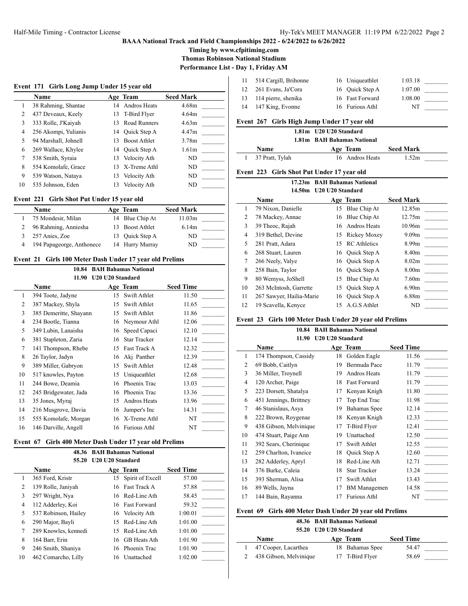## **BAAA National Track and Field Championships 2022 - 6/24/2022 to 6/26/2022**

**Timing by www.cfpitiming.com**

**Thomas Robinson National Stadium**

**Performance List - Day 1, Friday AM**

|    | Event 171 Girls Long Jump Under 15 year old |    |                     |                   |
|----|---------------------------------------------|----|---------------------|-------------------|
|    | Name                                        |    | Age Team            | <b>Seed Mark</b>  |
| 1  | 38 Rahming, Shantae                         |    | 14 Andros Heats     | 4.68m             |
| 2  | 437 Deveaux, Keely                          |    | 13 T-Bird Flyer     | 4.64m             |
| 3  | 333 Rolle, J'Kaiyah                         | 13 | Road Runners        | 4.63m             |
| 4  | 256 Akompi, Yulianis                        | 14 | Ouick Step A        | 4.47m             |
| 5  | 94 Marshall, Johnell                        | 13 | <b>Boost Athlet</b> | 3.78m             |
| 6  | 269 Wallace, Khylee                         |    | 14 Ouick Step A     | 1.61 <sub>m</sub> |
| 7  | 538 Smith, Syraia                           | 13 | Velocity Ath        | ND                |
| 8  | 554 Komolafe, Grace                         | 13 | X-Treme Athl        | ND                |
| 9  | 539 Watson, Nataya                          | 13 | Velocity Ath        | ND                |
| 10 | 535 Johnson, Eden                           | 13 | Velocity Ath        | ND                |

#### **Event 221 Girls Shot Put Under 15 year old**

| Name                      | Age Team        | <b>Seed Mark</b> |  |
|---------------------------|-----------------|------------------|--|
| 75 Mondesir, Milan        | 14 Blue Chip At | 11.03m           |  |
| 96 Rahming, Anniesha      | 13 Boost Athlet | 6.14m            |  |
| 257 Anies, Zoe            | 13 Ouick Step A | ND               |  |
| 194 Papageorge, Anthonece | 14 Hurry Murray | ND               |  |

#### **Event 21 Girls 100 Meter Dash Under 17 year old Prelims**

| 10.84 BAH Bahamas National |
|----------------------------|
| 11.90 U20 U20 Standard     |

|    | vzv vzv stanuaru       |    |                     |                  |  |  |  |
|----|------------------------|----|---------------------|------------------|--|--|--|
|    | <b>Name</b>            |    | Age Team            | <b>Seed Time</b> |  |  |  |
| 1  | 394 Toote, Jadyne      | 15 | Swift Athlet        | 11.50            |  |  |  |
| 2  | 387 Mackey, Shyla      | 15 | Swift Athlet        | 11.65            |  |  |  |
| 3  | 385 Demeritte, Shayann | 15 | Swift Athlet        | 11.86            |  |  |  |
| 4  | 234 Bootle, Tianna     | 16 | Neymour Athl        | 12.06            |  |  |  |
| 5  | 349 Lubin, Lanaisha    | 16 | Speed Capaci        | 12.10            |  |  |  |
| 6  | 381 Stapleton, Zaria   | 16 | <b>Star Tracker</b> | 12.14            |  |  |  |
| 7  | 141 Thompson, Rhebe    | 15 | Fast Track A        | 12.32            |  |  |  |
| 8  | 26 Taylor, Jadyn       | 16 | Aki Panther         | 12.39            |  |  |  |
| 9  | 389 Miller, Gabryon    | 15 | Swift Athlet        | 12.48            |  |  |  |
| 10 | 517 knowles, Payton    | 15 | Uniqueathlet        | 12.68            |  |  |  |
| 11 | 244 Bowe, Deamia       | 16 | Phoenix Trac        | 13.03            |  |  |  |
| 12 | 245 Bridgewater, Jada  | 16 | Phoenix Trac        | 13.36            |  |  |  |
| 13 | 35 Jones, Myraj        | 15 | Andros Heats        | 13.96            |  |  |  |
| 14 | 216 Musgrove, Davia    | 16 | Jumper's Inc        | 14.31            |  |  |  |
| 15 | 555 Komolafe, Morgan   | 16 | X-Treme Athl        | NT               |  |  |  |
| 16 | 146 Darville, Angell   | 16 | <b>Furious Athl</b> | NT               |  |  |  |

#### **Event 67 Girls 400 Meter Dash Under 17 year old Prelims**

|                | 48.36                | <b>BAH Bahamas National</b> |                     |                  |
|----------------|----------------------|-----------------------------|---------------------|------------------|
|                | 55.20                | U20 U20 Standard            |                     |                  |
|                | Name                 |                             | Age Team            | <b>Seed Time</b> |
|                | 365 Ford, Kristr     |                             | 15 Spirit of Excell | 57.00            |
| $\overline{c}$ | 139 Rolle, Janiyah   |                             | 16 Fast Track A     | 57.88            |
| 3              | 297 Wright, Nya      |                             | 16 Red-Line Ath     | 58.45            |
| 4              | 112 Adderley, Koi    |                             | 16 Fast Forward     | 59.32            |
| 5              | 537 Robinson, Hailey |                             | 16 Velocity Ath     | 1:00.01          |
| 6              | 290 Major, Bayli     | 15.                         | Red-Line Ath        | 1:01.00          |
| 7              | 289 Knowles, kennedi | 15.                         | Red-Line Ath        | 1:01.00          |
| 8              | 164 Barr, Erin       | 16.                         | <b>GB</b> Heats Ath | 1:01.90          |
| 9              | 246 Smith, Shaniya   | 16                          | Phoenix Trac        | 1:01.90          |
| 10             | 462 Comarcho, Lilly  | 16                          | Unattached          | 1:02.00          |

|    | 11 514 Cargill, Brihonne | 16 Uniqueathlet | 1:03.18 |  |
|----|--------------------------|-----------------|---------|--|
| 12 | 261 Evans, Ja'Cora       | 16 Ouick Step A | 1:07.00 |  |
|    | 13 114 pierre, shenika   | 16 Fast Forward | 1:08.00 |  |
|    | 14 147 King, Evonne      | 16 Furious Athl | NT      |  |
|    |                          |                 |         |  |

## **Event 267 Girls High Jump Under 17 year old**

## **1.81m U20 U20 Standard**

## **1.81m BAH Bahamas National**

| <b>Name</b>     | Age Team        | <b>Seed Mark</b> |
|-----------------|-----------------|------------------|
| 37 Pratt, Tylah | 16 Andros Heats | 1.52m            |

## **Event 223 Girls Shot Put Under 17 year old**

| 17.23m BAH Bahamas National |     |                                                    |                                                                                                                 |  |
|-----------------------------|-----|----------------------------------------------------|-----------------------------------------------------------------------------------------------------------------|--|
| 14.50m                      |     |                                                    |                                                                                                                 |  |
| Name                        |     |                                                    | <b>Seed Mark</b>                                                                                                |  |
| 79 Nixon, Danielle          | 15  | Blue Chip At                                       | 12.85m                                                                                                          |  |
| 78 Mackey, Annae            | 16  | Blue Chip At                                       | 12.75m                                                                                                          |  |
| 39 Theoc, Rajah             |     | Andros Heats                                       | 10.96m                                                                                                          |  |
| 319 Bethel, Devine          | 15  | Rickey Moxey                                       | 9.09 <sub>m</sub>                                                                                               |  |
| 281 Pratt, Adara            | 15. | <b>RC</b> Athletics                                | 8.99m                                                                                                           |  |
| 268 Stuart, Lauren          |     |                                                    | 8.40 <sub>m</sub>                                                                                               |  |
| 266 Neely, Valye            |     |                                                    | 8.02 <sub>m</sub>                                                                                               |  |
| 258 Bain, Taylor            |     |                                                    | 8.00 <sub>m</sub>                                                                                               |  |
| 80 Wemyss, JoShell          | 15  | Blue Chip At                                       | 7.60 <sub>m</sub>                                                                                               |  |
|                             | 15  | Quick Step A                                       | 6.90 <sub>m</sub>                                                                                               |  |
|                             |     |                                                    | 6.88m                                                                                                           |  |
| 19 Scavella, Kenyce         | 15  | A.G.S Athlet                                       | ND                                                                                                              |  |
|                             |     | 263 McIntosh, Garrette<br>267 Sawyer, Hailia-Marie | U20 U20 Standard<br>Age Team<br>16.<br>16 Ouick Step A<br>16 Ouick Step A<br>16 Ouick Step A<br>16 Ouick Step A |  |

## **Event 23 Girls 100 Meter Dash Under 20 year old Prelims**

#### **10.84 BAH Bahamas National 11.90 U20 U20 Standard**

|                | Name                   |    | Age Team            | <b>Seed Time</b> |  |  |  |
|----------------|------------------------|----|---------------------|------------------|--|--|--|
| 1              | 174 Thompson, Cassidy  | 18 | Golden Eagle        | 11.56            |  |  |  |
| $\overline{2}$ | 69 Bobb, Caitlyn       | 19 | Bermuda Pace        | 11.79            |  |  |  |
| 3              | 36 Miller, Troynell    | 19 | Andros Heats        | 11.79            |  |  |  |
| $\overline{4}$ | 120 Archer, Paige      | 18 | Fast Forward        | 11.79            |  |  |  |
| 5              | 223 Dorsett, Shatalya  | 17 | Kenyan Knigh        | 11.80            |  |  |  |
| 6              | 451 Jennings, Brittney | 17 | Top End Trac        | 11.98            |  |  |  |
| 7              | 46 Stanislaus, Asya    | 19 | Bahamas Spee        | 12.14            |  |  |  |
| 8              | 222 Brown, Roygenae    | 18 | Kenyan Knigh        | 12.33            |  |  |  |
| 9              | 438 Gibson, Melvinique | 17 | T-Bird Flyer        | 12.41            |  |  |  |
| 10             | 474 Stuart, Paige Ann  | 19 | Unattached          | 12.50            |  |  |  |
| 11             | 392 Sears, Cherinique  | 17 | Swift Athlet        | 12.55            |  |  |  |
| 12             | 259 Charlton, Ivaneice | 18 | Quick Step A        | 12.60            |  |  |  |
| 13             | 282 Adderley, Apryl    | 18 | Red-Line Ath        | 12.71            |  |  |  |
| 14             | 376 Burke, Caleia      | 18 | <b>Star Tracker</b> | 13.24            |  |  |  |
| 15             | 393 Sherman, Alisa     | 17 | Swift Athlet        | 13.43            |  |  |  |
| 16             | 89 Wells, Jayna        | 17 | <b>BM</b> Managemen | 14.58            |  |  |  |
| 17             | 144 Bain, Rayanna      | 17 | <b>Furious Athl</b> | NT               |  |  |  |

#### **Event 69 Girls 400 Meter Dash Under 20 year old Prelims**

|                        | 48.36 BAH Bahamas National |                 |                  |  |  |
|------------------------|----------------------------|-----------------|------------------|--|--|
|                        | 55.20 U20 U20 Standard     |                 |                  |  |  |
| Name                   |                            | Age Team        | <b>Seed Time</b> |  |  |
| 47 Cooper, Lacarthea   |                            | 18 Bahamas Spee | 54.47            |  |  |
| 438 Gibson, Melvinique |                            | 17 T-Bird Flyer | 58.69            |  |  |